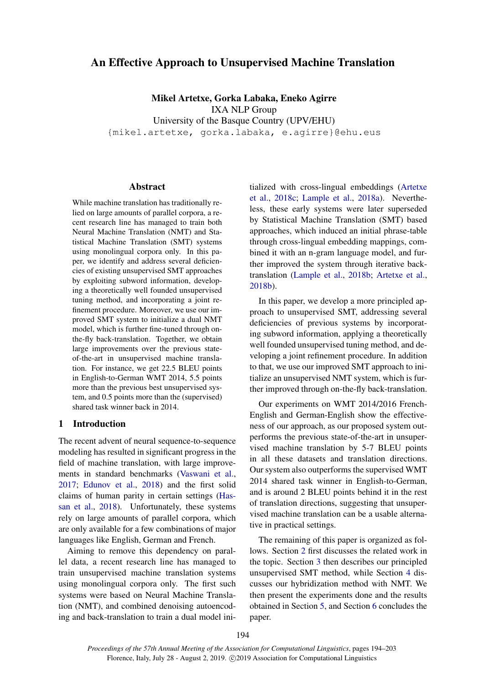# An Effective Approach to Unsupervised Machine Translation

Mikel Artetxe, Gorka Labaka, Eneko Agirre IXA NLP Group University of the Basque Country (UPV/EHU) {mikel.artetxe, gorka.labaka, e.agirre}@ehu.eus

### Abstract

While machine translation has traditionally relied on large amounts of parallel corpora, a recent research line has managed to train both Neural Machine Translation (NMT) and Statistical Machine Translation (SMT) systems using monolingual corpora only. In this paper, we identify and address several deficiencies of existing unsupervised SMT approaches by exploiting subword information, developing a theoretically well founded unsupervised tuning method, and incorporating a joint refinement procedure. Moreover, we use our improved SMT system to initialize a dual NMT model, which is further fine-tuned through onthe-fly back-translation. Together, we obtain large improvements over the previous stateof-the-art in unsupervised machine translation. For instance, we get 22.5 BLEU points in English-to-German WMT 2014, 5.5 points more than the previous best unsupervised system, and 0.5 points more than the (supervised) shared task winner back in 2014.

#### 1 Introduction

The recent advent of neural sequence-to-sequence modeling has resulted in significant progress in the field of machine translation, with large improvements in standard benchmarks [\(Vaswani et al.,](#page-9-0) [2017;](#page-9-0) [Edunov et al.,](#page-8-0) [2018\)](#page-8-0) and the first solid claims of human parity in certain settings [\(Has](#page-8-1)[san et al.,](#page-8-1) [2018\)](#page-8-1). Unfortunately, these systems rely on large amounts of parallel corpora, which are only available for a few combinations of major languages like English, German and French.

Aiming to remove this dependency on parallel data, a recent research line has managed to train unsupervised machine translation systems using monolingual corpora only. The first such systems were based on Neural Machine Translation (NMT), and combined denoising autoencoding and back-translation to train a dual model initialized with cross-lingual embeddings [\(Artetxe](#page-8-2) [et al.,](#page-8-2) [2018c;](#page-8-2) [Lample et al.,](#page-8-3) [2018a\)](#page-8-3). Nevertheless, these early systems were later superseded by Statistical Machine Translation (SMT) based approaches, which induced an initial phrase-table through cross-lingual embedding mappings, combined it with an n-gram language model, and further improved the system through iterative backtranslation [\(Lample et al.,](#page-8-4) [2018b;](#page-8-4) [Artetxe et al.,](#page-8-5) [2018b\)](#page-8-5).

In this paper, we develop a more principled approach to unsupervised SMT, addressing several deficiencies of previous systems by incorporating subword information, applying a theoretically well founded unsupervised tuning method, and developing a joint refinement procedure. In addition to that, we use our improved SMT approach to initialize an unsupervised NMT system, which is further improved through on-the-fly back-translation.

Our experiments on WMT 2014/2016 French-English and German-English show the effectiveness of our approach, as our proposed system outperforms the previous state-of-the-art in unsupervised machine translation by 5-7 BLEU points in all these datasets and translation directions. Our system also outperforms the supervised WMT 2014 shared task winner in English-to-German, and is around 2 BLEU points behind it in the rest of translation directions, suggesting that unsupervised machine translation can be a usable alternative in practical settings.

The remaining of this paper is organized as follows. Section [2](#page-1-0) first discusses the related work in the topic. Section [3](#page-1-1) then describes our principled unsupervised SMT method, while Section [4](#page-4-0) discusses our hybridization method with NMT. We then present the experiments done and the results obtained in Section [5,](#page-5-0) and Section [6](#page-7-0) concludes the paper.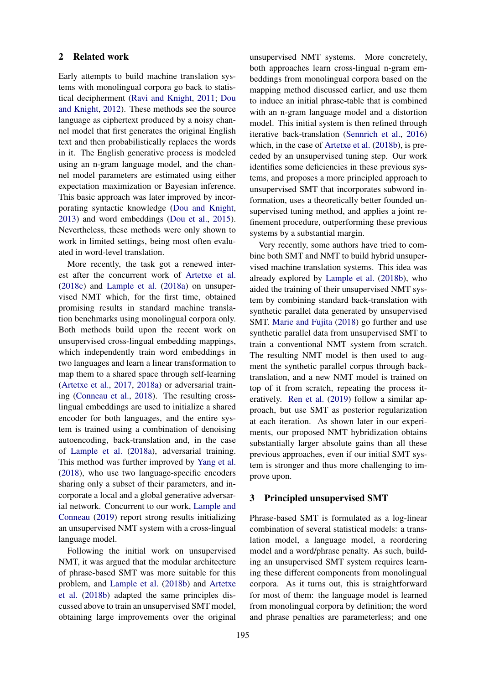#### <span id="page-1-0"></span>2 Related work

Early attempts to build machine translation systems with monolingual corpora go back to statistical decipherment [\(Ravi and Knight,](#page-9-1) [2011;](#page-9-1) [Dou](#page-8-6) [and Knight,](#page-8-6) [2012\)](#page-8-6). These methods see the source language as ciphertext produced by a noisy channel model that first generates the original English text and then probabilistically replaces the words in it. The English generative process is modeled using an n-gram language model, and the channel model parameters are estimated using either expectation maximization or Bayesian inference. This basic approach was later improved by incorporating syntactic knowledge [\(Dou and Knight,](#page-8-7) [2013\)](#page-8-7) and word embeddings [\(Dou et al.,](#page-8-8) [2015\)](#page-8-8). Nevertheless, these methods were only shown to work in limited settings, being most often evaluated in word-level translation.

More recently, the task got a renewed interest after the concurrent work of [Artetxe et al.](#page-8-2) [\(2018c\)](#page-8-2) and [Lample et al.](#page-8-3) [\(2018a\)](#page-8-3) on unsupervised NMT which, for the first time, obtained promising results in standard machine translation benchmarks using monolingual corpora only. Both methods build upon the recent work on unsupervised cross-lingual embedding mappings, which independently train word embeddings in two languages and learn a linear transformation to map them to a shared space through self-learning [\(Artetxe et al.,](#page-8-9) [2017,](#page-8-9) [2018a\)](#page-8-10) or adversarial training [\(Conneau et al.,](#page-8-11) [2018\)](#page-8-11). The resulting crosslingual embeddings are used to initialize a shared encoder for both languages, and the entire system is trained using a combination of denoising autoencoding, back-translation and, in the case of [Lample et al.](#page-8-3) [\(2018a\)](#page-8-3), adversarial training. This method was further improved by [Yang et al.](#page-9-2) [\(2018\)](#page-9-2), who use two language-specific encoders sharing only a subset of their parameters, and incorporate a local and a global generative adversarial network. Concurrent to our work, [Lample and](#page-8-12) [Conneau](#page-8-12) [\(2019\)](#page-8-12) report strong results initializing an unsupervised NMT system with a cross-lingual language model.

Following the initial work on unsupervised NMT, it was argued that the modular architecture of phrase-based SMT was more suitable for this problem, and [Lample et al.](#page-8-4) [\(2018b\)](#page-8-4) and [Artetxe](#page-8-5) [et al.](#page-8-5) [\(2018b\)](#page-8-5) adapted the same principles discussed above to train an unsupervised SMT model, obtaining large improvements over the original

unsupervised NMT systems. More concretely, both approaches learn cross-lingual n-gram embeddings from monolingual corpora based on the mapping method discussed earlier, and use them to induce an initial phrase-table that is combined with an n-gram language model and a distortion model. This initial system is then refined through iterative back-translation [\(Sennrich et al.,](#page-9-3) [2016\)](#page-9-3) which, in the case of [Artetxe et al.](#page-8-5) [\(2018b\)](#page-8-5), is preceded by an unsupervised tuning step. Our work identifies some deficiencies in these previous systems, and proposes a more principled approach to unsupervised SMT that incorporates subword information, uses a theoretically better founded unsupervised tuning method, and applies a joint refinement procedure, outperforming these previous systems by a substantial margin.

Very recently, some authors have tried to combine both SMT and NMT to build hybrid unsupervised machine translation systems. This idea was already explored by [Lample et al.](#page-8-4) [\(2018b\)](#page-8-4), who aided the training of their unsupervised NMT system by combining standard back-translation with synthetic parallel data generated by unsupervised SMT. [Marie and Fujita](#page-9-4) [\(2018\)](#page-9-4) go further and use synthetic parallel data from unsupervised SMT to train a conventional NMT system from scratch. The resulting NMT model is then used to augment the synthetic parallel corpus through backtranslation, and a new NMT model is trained on top of it from scratch, repeating the process iteratively. [Ren et al.](#page-9-5) [\(2019\)](#page-9-5) follow a similar approach, but use SMT as posterior regularization at each iteration. As shown later in our experiments, our proposed NMT hybridization obtains substantially larger absolute gains than all these previous approaches, even if our initial SMT system is stronger and thus more challenging to improve upon.

# <span id="page-1-1"></span>3 Principled unsupervised SMT

Phrase-based SMT is formulated as a log-linear combination of several statistical models: a translation model, a language model, a reordering model and a word/phrase penalty. As such, building an unsupervised SMT system requires learning these different components from monolingual corpora. As it turns out, this is straightforward for most of them: the language model is learned from monolingual corpora by definition; the word and phrase penalties are parameterless; and one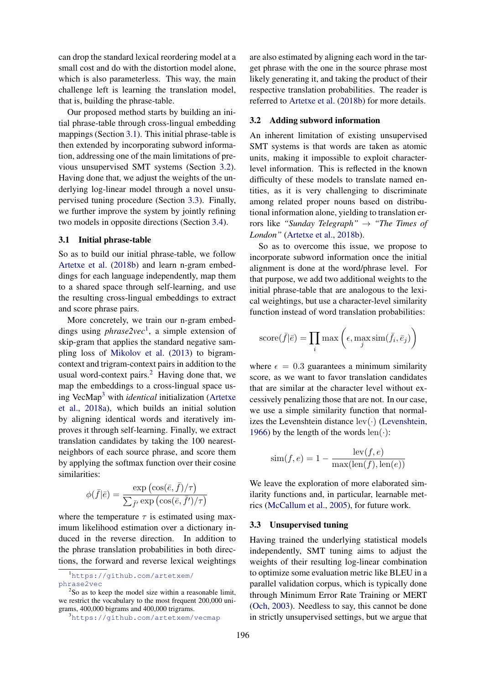can drop the standard lexical reordering model at a small cost and do with the distortion model alone, which is also parameterless. This way, the main challenge left is learning the translation model, that is, building the phrase-table.

Our proposed method starts by building an initial phrase-table through cross-lingual embedding mappings (Section [3.1\)](#page-2-0). This initial phrase-table is then extended by incorporating subword information, addressing one of the main limitations of previous unsupervised SMT systems (Section [3.2\)](#page-2-1). Having done that, we adjust the weights of the underlying log-linear model through a novel unsupervised tuning procedure (Section [3.3\)](#page-2-2). Finally, we further improve the system by jointly refining two models in opposite directions (Section [3.4\)](#page-3-0).

# <span id="page-2-0"></span>3.1 Initial phrase-table

So as to build our initial phrase-table, we follow [Artetxe et al.](#page-8-5) [\(2018b\)](#page-8-5) and learn n-gram embeddings for each language independently, map them to a shared space through self-learning, and use the resulting cross-lingual embeddings to extract and score phrase pairs.

More concretely, we train our n-gram embeddings using *phrase2vec*[1](#page-2-3) , a simple extension of skip-gram that applies the standard negative sampling loss of [Mikolov et al.](#page-9-6) [\(2013\)](#page-9-6) to bigramcontext and trigram-context pairs in addition to the usual word-context pairs. $^{2}$  $^{2}$  $^{2}$  Having done that, we map the embeddings to a cross-lingual space using VecMap[3](#page-2-5) with *identical* initialization [\(Artetxe](#page-8-10) [et al.,](#page-8-10) [2018a\)](#page-8-10), which builds an initial solution by aligning identical words and iteratively improves it through self-learning. Finally, we extract translation candidates by taking the 100 nearestneighbors of each source phrase, and score them by applying the softmax function over their cosine similarities:

$$
\phi(\bar{f}|\bar{e}) = \frac{\exp\left(\cos(\bar{e}, \bar{f})/\tau\right)}{\sum_{\bar{f}'} \exp\left(\cos(\bar{e}, \bar{f}')/\tau\right)}
$$

where the temperature  $\tau$  is estimated using maximum likelihood estimation over a dictionary induced in the reverse direction. In addition to the phrase translation probabilities in both directions, the forward and reverse lexical weightings

are also estimated by aligning each word in the target phrase with the one in the source phrase most likely generating it, and taking the product of their respective translation probabilities. The reader is referred to [Artetxe et al.](#page-8-5) [\(2018b\)](#page-8-5) for more details.

# <span id="page-2-1"></span>3.2 Adding subword information

An inherent limitation of existing unsupervised SMT systems is that words are taken as atomic units, making it impossible to exploit characterlevel information. This is reflected in the known difficulty of these models to translate named entities, as it is very challenging to discriminate among related proper nouns based on distributional information alone, yielding to translation errors like *"Sunday Telegraph"* → *"The Times of London"* [\(Artetxe et al.,](#page-8-5) [2018b\)](#page-8-5).

So as to overcome this issue, we propose to incorporate subword information once the initial alignment is done at the word/phrase level. For that purpose, we add two additional weights to the initial phrase-table that are analogous to the lexical weightings, but use a character-level similarity function instead of word translation probabilities:

score(
$$
\bar{f}|\bar{e}
$$
) =  $\prod_i \max\left(\epsilon, \max_j \text{sim}(\bar{f}_i, \bar{e}_j)\right)$ 

where  $\epsilon = 0.3$  guarantees a minimum similarity score, as we want to favor translation candidates that are similar at the character level without excessively penalizing those that are not. In our case, we use a simple similarity function that normalizes the Levenshtein distance  $lev(\cdot)$  [\(Levenshtein,](#page-9-7) [1966\)](#page-9-7) by the length of the words  $len(\cdot)$ :

$$
sim(f, e) = 1 - \frac{lev(f, e)}{max(len(f), len(e))}
$$

We leave the exploration of more elaborated similarity functions and, in particular, learnable metrics [\(McCallum et al.,](#page-9-8) [2005\)](#page-9-8), for future work.

#### <span id="page-2-2"></span>3.3 Unsupervised tuning

Having trained the underlying statistical models independently, SMT tuning aims to adjust the weights of their resulting log-linear combination to optimize some evaluation metric like BLEU in a parallel validation corpus, which is typically done through Minimum Error Rate Training or MERT [\(Och,](#page-9-9) [2003\)](#page-9-9). Needless to say, this cannot be done in strictly unsupervised settings, but we argue that

<span id="page-2-3"></span><sup>1</sup>[https://github.com/artetxem/](https://github.com/artetxem/phrase2vec) [phrase2vec](https://github.com/artetxem/phrase2vec)

<span id="page-2-4"></span><sup>&</sup>lt;sup>2</sup>So as to keep the model size within a reasonable limit, we restrict the vocabulary to the most frequent 200,000 unigrams, 400,000 bigrams and 400,000 trigrams.

<span id="page-2-5"></span><sup>3</sup><https://github.com/artetxem/vecmap>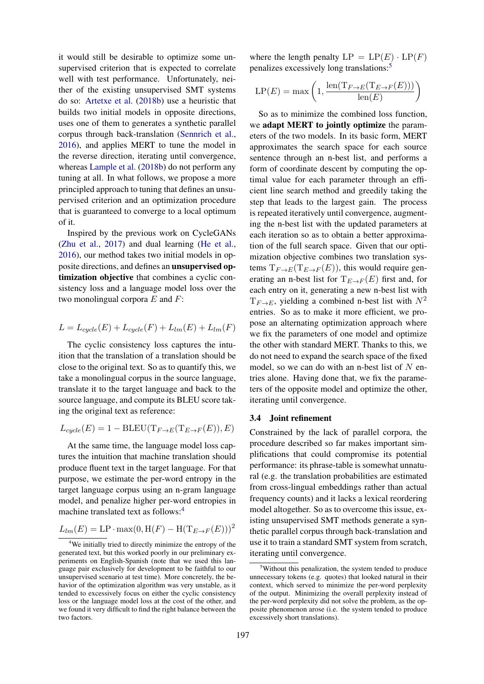it would still be desirable to optimize some unsupervised criterion that is expected to correlate well with test performance. Unfortunately, neither of the existing unsupervised SMT systems do so: [Artetxe et al.](#page-8-5) [\(2018b\)](#page-8-5) use a heuristic that builds two initial models in opposite directions, uses one of them to generates a synthetic parallel corpus through back-translation [\(Sennrich et al.,](#page-9-3) [2016\)](#page-9-3), and applies MERT to tune the model in the reverse direction, iterating until convergence, whereas [Lample et al.](#page-8-4) [\(2018b\)](#page-8-4) do not perform any tuning at all. In what follows, we propose a more principled approach to tuning that defines an unsupervised criterion and an optimization procedure that is guaranteed to converge to a local optimum of it.

Inspired by the previous work on CycleGANs [\(Zhu et al.,](#page-9-10) [2017\)](#page-9-10) and dual learning [\(He et al.,](#page-8-13) [2016\)](#page-8-13), our method takes two initial models in opposite directions, and defines an unsupervised optimization objective that combines a cyclic consistency loss and a language model loss over the two monolingual corpora  $E$  and  $F$ :

$$
L = L_{cycle}(E) + L_{cycle}(F) + L_{lm}(E) + L_{lm}(F)
$$

The cyclic consistency loss captures the intuition that the translation of a translation should be close to the original text. So as to quantify this, we take a monolingual corpus in the source language, translate it to the target language and back to the source language, and compute its BLEU score taking the original text as reference:

$$
L_{cycle}(E) = 1 - BLEU(T_{F \to E}(T_{E \to F}(E)), E)
$$

At the same time, the language model loss captures the intuition that machine translation should produce fluent text in the target language. For that purpose, we estimate the per-word entropy in the target language corpus using an n-gram language model, and penalize higher per-word entropies in machine translated text as follows:<sup>[4](#page-3-1)</sup>

$$
L_{lm}(E) = \text{LP} \cdot \max(0, \text{H}(F) - \text{H}(\text{T}_{E \to F}(E)))^2
$$

where the length penalty  $LP = LP(E) \cdot LP(F)$ penalizes excessively long translations:[5](#page-3-2)

$$
\text{LP}(E) = \max\left(1, \frac{\text{len}(\text{T}_{F \to E}(\text{T}_{E \to F}(E)))}{\text{len}(E)}\right)
$$

So as to minimize the combined loss function, we adapt MERT to jointly optimize the parameters of the two models. In its basic form, MERT approximates the search space for each source sentence through an n-best list, and performs a form of coordinate descent by computing the optimal value for each parameter through an efficient line search method and greedily taking the step that leads to the largest gain. The process is repeated iteratively until convergence, augmenting the n-best list with the updated parameters at each iteration so as to obtain a better approximation of the full search space. Given that our optimization objective combines two translation systems  $T_{F\to E}(T_{E\to F}(E))$ , this would require generating an n-best list for  $T_{E\rightarrow F}(E)$  first and, for each entry on it, generating a new n-best list with  $T_{F\rightarrow E}$ , yielding a combined n-best list with  $N^2$ entries. So as to make it more efficient, we propose an alternating optimization approach where we fix the parameters of one model and optimize the other with standard MERT. Thanks to this, we do not need to expand the search space of the fixed model, so we can do with an n-best list of  $N$  entries alone. Having done that, we fix the parameters of the opposite model and optimize the other, iterating until convergence.

#### <span id="page-3-0"></span>3.4 Joint refinement

Constrained by the lack of parallel corpora, the procedure described so far makes important simplifications that could compromise its potential performance: its phrase-table is somewhat unnatural (e.g. the translation probabilities are estimated from cross-lingual embeddings rather than actual frequency counts) and it lacks a lexical reordering model altogether. So as to overcome this issue, existing unsupervised SMT methods generate a synthetic parallel corpus through back-translation and use it to train a standard SMT system from scratch, iterating until convergence.

<span id="page-3-1"></span><sup>&</sup>lt;sup>4</sup>We initially tried to directly minimize the entropy of the generated text, but this worked poorly in our preliminary experiments on English-Spanish (note that we used this language pair exclusively for development to be faithful to our unsupervised scenario at test time). More concretely, the behavior of the optimization algorithm was very unstable, as it tended to excessively focus on either the cyclic consistency loss or the language model loss at the cost of the other, and we found it very difficult to find the right balance between the two factors.

<span id="page-3-2"></span><sup>&</sup>lt;sup>5</sup>Without this penalization, the system tended to produce unnecessary tokens (e.g. quotes) that looked natural in their context, which served to minimize the per-word perplexity of the output. Minimizing the overall perplexity instead of the per-word perplexity did not solve the problem, as the opposite phenomenon arose (i.e. the system tended to produce excessively short translations).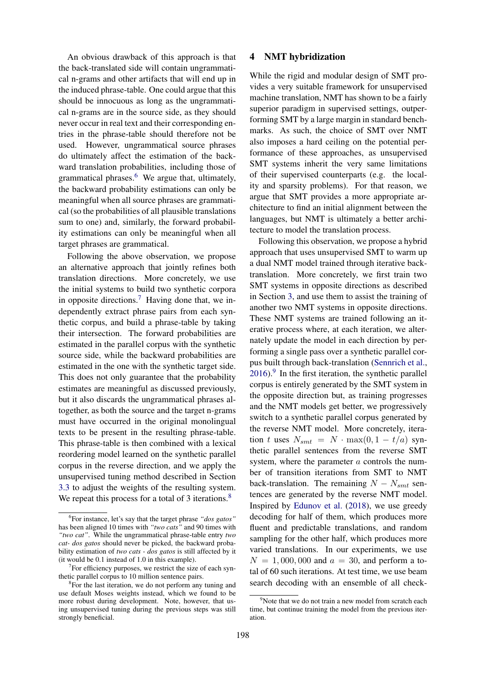An obvious drawback of this approach is that the back-translated side will contain ungrammatical n-grams and other artifacts that will end up in the induced phrase-table. One could argue that this should be innocuous as long as the ungrammatical n-grams are in the source side, as they should never occur in real text and their corresponding entries in the phrase-table should therefore not be used. However, ungrammatical source phrases do ultimately affect the estimation of the backward translation probabilities, including those of grammatical phrases. $6\,$  $6\,$  We argue that, ultimately, the backward probability estimations can only be meaningful when all source phrases are grammatical (so the probabilities of all plausible translations sum to one) and, similarly, the forward probability estimations can only be meaningful when all target phrases are grammatical.

Following the above observation, we propose an alternative approach that jointly refines both translation directions. More concretely, we use the initial systems to build two synthetic corpora in opposite directions.<sup>[7](#page-4-2)</sup> Having done that, we independently extract phrase pairs from each synthetic corpus, and build a phrase-table by taking their intersection. The forward probabilities are estimated in the parallel corpus with the synthetic source side, while the backward probabilities are estimated in the one with the synthetic target side. This does not only guarantee that the probability estimates are meaningful as discussed previously, but it also discards the ungrammatical phrases altogether, as both the source and the target n-grams must have occurred in the original monolingual texts to be present in the resulting phrase-table. This phrase-table is then combined with a lexical reordering model learned on the synthetic parallel corpus in the reverse direction, and we apply the unsupervised tuning method described in Section [3.3](#page-2-2) to adjust the weights of the resulting system. We repeat this process for a total of 3 iterations.<sup>[8](#page-4-3)</sup>

### <span id="page-4-0"></span>4 NMT hybridization

While the rigid and modular design of SMT provides a very suitable framework for unsupervised machine translation, NMT has shown to be a fairly superior paradigm in supervised settings, outperforming SMT by a large margin in standard benchmarks. As such, the choice of SMT over NMT also imposes a hard ceiling on the potential performance of these approaches, as unsupervised SMT systems inherit the very same limitations of their supervised counterparts (e.g. the locality and sparsity problems). For that reason, we argue that SMT provides a more appropriate architecture to find an initial alignment between the languages, but NMT is ultimately a better architecture to model the translation process.

Following this observation, we propose a hybrid approach that uses unsupervised SMT to warm up a dual NMT model trained through iterative backtranslation. More concretely, we first train two SMT systems in opposite directions as described in Section [3,](#page-1-1) and use them to assist the training of another two NMT systems in opposite directions. These NMT systems are trained following an iterative process where, at each iteration, we alternately update the model in each direction by performing a single pass over a synthetic parallel corpus built through back-translation [\(Sennrich et al.,](#page-9-3)  $2016$ .<sup>[9](#page-4-4)</sup> In the first iteration, the synthetic parallel corpus is entirely generated by the SMT system in the opposite direction but, as training progresses and the NMT models get better, we progressively switch to a synthetic parallel corpus generated by the reverse NMT model. More concretely, iteration t uses  $N_{smt} = N \cdot \max(0, 1 - t/a)$  synthetic parallel sentences from the reverse SMT system, where the parameter  $a$  controls the number of transition iterations from SMT to NMT back-translation. The remaining  $N - N<sub>smt</sub>$  sentences are generated by the reverse NMT model. Inspired by [Edunov et al.](#page-8-0) [\(2018\)](#page-8-0), we use greedy decoding for half of them, which produces more fluent and predictable translations, and random sampling for the other half, which produces more varied translations. In our experiments, we use  $N = 1,000,000$  and  $a = 30$ , and perform a total of 60 such iterations. At test time, we use beam search decoding with an ensemble of all check-

<span id="page-4-1"></span><sup>6</sup> For instance, let's say that the target phrase *"dos gatos"* has been aligned 10 times with *"two cats"* and 90 times with *"two cat"*. While the ungrammatical phrase-table entry *two cat- dos gatos* should never be picked, the backward probability estimation of *two cats - dos gatos* is still affected by it (it would be 0.1 instead of 1.0 in this example).

<span id="page-4-2"></span> $7$  For efficiency purposes, we restrict the size of each synthetic parallel corpus to 10 million sentence pairs.

<span id="page-4-3"></span><sup>&</sup>lt;sup>8</sup>For the last iteration, we do not perform any tuning and use default Moses weights instead, which we found to be more robust during development. Note, however, that using unsupervised tuning during the previous steps was still strongly beneficial.

<span id="page-4-4"></span><sup>&</sup>lt;sup>9</sup>Note that we do not train a new model from scratch each time, but continue training the model from the previous iteration.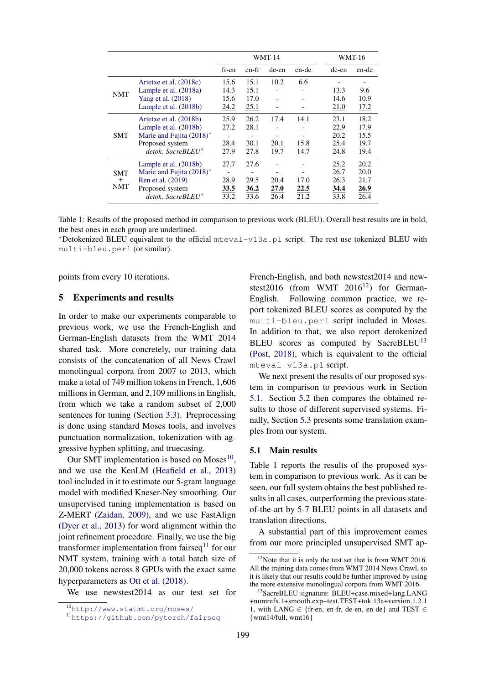<span id="page-5-6"></span>

|                                       |                                                                                                                                    | <b>WMT-14</b>                |                              |                      | <b>WMT-16</b>        |                                      |                                      |
|---------------------------------------|------------------------------------------------------------------------------------------------------------------------------------|------------------------------|------------------------------|----------------------|----------------------|--------------------------------------|--------------------------------------|
|                                       |                                                                                                                                    | fr-en                        | en-fr                        | de-en                | en-de                | de-en                                | en-de                                |
| <b>NMT</b>                            | Artetxe et al. (2018c)<br>Lample et al. (2018a)<br>Yang et al. (2018)                                                              | 15.6<br>14.3<br>15.6         | 15.1<br>15.1<br>17.0         | 10.2                 | 6.6                  | 13.3<br>14.6                         | 9.6<br>10.9                          |
|                                       | Lample et al. (2018b)                                                                                                              | 24.2                         | 25.1                         |                      |                      | 21.0                                 | 17.2                                 |
| SMT                                   | Artetxe et al. (2018b)<br>Lample et al. (2018b)<br>Marie and Fujita (2018)*<br>Proposed system<br>$detok$ . SacreBLEU <sup>*</sup> | 25.9<br>27.2<br>28.4<br>27.9 | 26.2<br>28.1<br>30.1<br>27.8 | 17.4<br>20.1<br>19.7 | 14.1<br>15.8<br>14.7 | 23.1<br>22.9<br>20.2<br>25.4<br>24.8 | 18.2<br>17.9<br>15.5<br>19.7<br>19.4 |
| <b>SMT</b><br>$\ddot{}$<br><b>NMT</b> | Lample et al. (2018b)<br>Marie and Fujita (2018)*<br>Ren et al. (2019)<br>Proposed system<br>$detok$ . SacreBLEU*                  | 27.7<br>28.9<br>33.5<br>33.2 | 27.6<br>29.5<br>36.2<br>33.6 | 20.4<br>27.0<br>26.4 | 17.0<br>22.5<br>21.2 | 25.2<br>26.7<br>26.3<br>34.4<br>33.8 | 20.2<br>20.0<br>21.7<br>26.9<br>26.4 |

Table 1: Results of the proposed method in comparison to previous work (BLEU). Overall best results are in bold, the best ones in each group are underlined.

<sup>∗</sup>Detokenized BLEU equivalent to the official mteval-v13a.pl script. The rest use tokenized BLEU with multi-bleu.perl (or similar).

points from every 10 iterations.

### <span id="page-5-0"></span>5 Experiments and results

In order to make our experiments comparable to previous work, we use the French-English and German-English datasets from the WMT 2014 shared task. More concretely, our training data consists of the concatenation of all News Crawl monolingual corpora from 2007 to 2013, which make a total of 749 million tokens in French, 1,606 millions in German, and 2,109 millions in English, from which we take a random subset of 2,000 sentences for tuning (Section [3.3\)](#page-2-2). Preprocessing is done using standard Moses tools, and involves punctuation normalization, tokenization with aggressive hyphen splitting, and truecasing.

Our SMT implementation is based on Moses<sup>[10](#page-5-1)</sup>, and we use the KenLM [\(Heafield et al.,](#page-8-14) [2013\)](#page-8-14) tool included in it to estimate our 5-gram language model with modified Kneser-Ney smoothing. Our unsupervised tuning implementation is based on Z-MERT [\(Zaidan,](#page-9-11) [2009\)](#page-9-11), and we use FastAlign [\(Dyer et al.,](#page-8-15) [2013\)](#page-8-15) for word alignment within the joint refinement procedure. Finally, we use the big transformer implementation from fairseq $11$  for our NMT system, training with a total batch size of 20,000 tokens across 8 GPUs with the exact same hyperparameters as [Ott et al.](#page-9-12) [\(2018\)](#page-9-12).

We use newstest2014 as our test set for

French-English, and both newstest2014 and newstest2016 (from WMT  $2016^{12}$  $2016^{12}$  $2016^{12}$ ) for German-English. Following common practice, we report tokenized BLEU scores as computed by the multi-bleu.perl script included in Moses. In addition to that, we also report detokenized BLEU scores as computed by SacreBLEU<sup>[13](#page-5-4)</sup> [\(Post,](#page-9-13) [2018\)](#page-9-13), which is equivalent to the official mteval-v13a.pl script.

We next present the results of our proposed system in comparison to previous work in Section [5.1.](#page-5-5) Section [5.2](#page-6-0) then compares the obtained results to those of different supervised systems. Finally, Section [5.3](#page-7-1) presents some translation examples from our system.

#### <span id="page-5-5"></span>5.1 Main results

Table [1](#page-5-6) reports the results of the proposed system in comparison to previous work. As it can be seen, our full system obtains the best published results in all cases, outperforming the previous stateof-the-art by 5-7 BLEU points in all datasets and translation directions.

A substantial part of this improvement comes from our more principled unsupervised SMT ap-

<span id="page-5-1"></span><sup>10</sup><http://www.statmt.org/moses/>

<span id="page-5-2"></span><sup>11</sup><https://github.com/pytorch/fairseq>

<span id="page-5-3"></span><sup>&</sup>lt;sup>12</sup>Note that it is only the test set that is from WMT 2016. All the training data comes from WMT 2014 News Crawl, so it is likely that our results could be further improved by using the more extensive monolingual corpora from WMT 2016.

<span id="page-5-4"></span><sup>13</sup>SacreBLEU signature: BLEU+case.mixed+lang.LANG +numrefs.1+smooth.exp+test.TEST+tok.13a+version.1.2.1 1, with LANG  $\in$  {fr-en, en-fr, de-en, en-de} and TEST  $\in$ {wmt14/full, wmt16}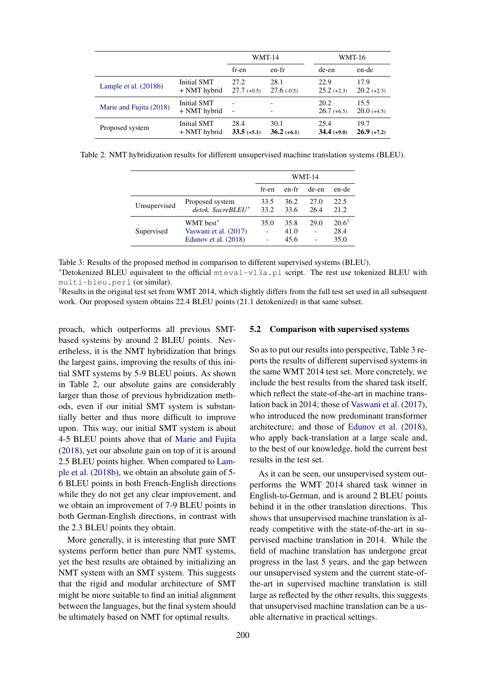<span id="page-6-1"></span>

|                         |                                    |                          | <b>WMT-14</b>         |                       | <b>WMT-16</b>         |
|-------------------------|------------------------------------|--------------------------|-----------------------|-----------------------|-----------------------|
|                         |                                    | fr-en                    | en-fr                 | de-en                 | en-de                 |
| Lample et al. (2018b)   | Initial SMT<br>+ NMT hybrid        | 27.2<br>$27.7(+0.5)$     | 28.1<br>$27.6(-0.5)$  | 22.9<br>$25.2 (+2.3)$ | 17.9<br>$20.2 (+2.3)$ |
| Marie and Fujita (2018) | <b>Initial SMT</b><br>+ NMT hybrid | $\overline{\phantom{0}}$ |                       | 20.2<br>$26.7(+6.5)$  | 15.5<br>$20.0$ (+4.5) |
| Proposed system         | Initial SMT<br>+ NMT hybrid        | 28.4<br>$33.5 (+5.1)$    | 30.1<br>$36.2 (+6.1)$ | 25.4<br>$34.4(+9.0)$  | 19.7<br>$26.9(+7.2)$  |

<span id="page-6-2"></span>Table 2: NMT hybridization results for different unsupervised machine translation systems (BLEU).

|              |                                                            | <b>WMT-14</b> |                      |              |                                  |
|--------------|------------------------------------------------------------|---------------|----------------------|--------------|----------------------------------|
|              |                                                            | fr-en         | en-fr                | de-en        | en-de                            |
| Unsupervised | Proposed system<br>detok. SacreBLEU*                       | 33.5<br>33.2  | 36.2<br>33.6         | 27.0<br>26.4 | 22.5<br>21.2                     |
| Supervised   | WMT best*<br>Vaswani et al. (2017)<br>Edunov et al. (2018) | 35.0          | 35.8<br>41.0<br>45.6 | 29.0         | $20.6^{\dagger}$<br>28.4<br>35.0 |

Table 3: Results of the proposed method in comparison to different supervised systems (BLEU). <sup>∗</sup>Detokenized BLEU equivalent to the official mteval-v13a.pl script. The rest use tokenized BLEU with multi-bleu.perl (or similar).

<sup>†</sup>Results in the original test set from WMT 2014, which slightly differs from the full test set used in all subsequent work. Our proposed system obtains 22.4 BLEU points (21.1 detokenized) in that same subset.

proach, which outperforms all previous SMTbased systems by around 2 BLEU points. Nevertheless, it is the NMT hybridization that brings the largest gains, improving the results of this initial SMT systems by 5-9 BLEU points. As shown in Table [2,](#page-6-1) our absolute gains are considerably larger than those of previous hybridization methods, even if our initial SMT system is substantially better and thus more difficult to improve upon. This way, our initial SMT system is about 4-5 BLEU points above that of [Marie and Fujita](#page-9-4) [\(2018\)](#page-9-4), yet our absolute gain on top of it is around 2.5 BLEU points higher. When compared to [Lam](#page-8-4)[ple et al.](#page-8-4) [\(2018b\)](#page-8-4), we obtain an absolute gain of 5- 6 BLEU points in both French-English directions while they do not get any clear improvement, and we obtain an improvement of 7-9 BLEU points in both German-English directions, in contrast with the 2.3 BLEU points they obtain.

More generally, it is interesting that pure SMT systems perform better than pure NMT systems, yet the best results are obtained by initializing an NMT system with an SMT system. This suggests that the rigid and modular architecture of SMT might be more suitable to find an initial alignment between the languages, but the final system should be ultimately based on NMT for optimal results.

#### <span id="page-6-0"></span>5.2 Comparison with supervised systems

So as to put our results into perspective, Table [3](#page-6-2) reports the results of different supervised systems in the same WMT 2014 test set. More concretely, we include the best results from the shared task itself, which reflect the state-of-the-art in machine translation back in 2014; those of [Vaswani et al.](#page-9-0) [\(2017\)](#page-9-0), who introduced the now predominant transformer architecture; and those of [Edunov et al.](#page-8-0) [\(2018\)](#page-8-0), who apply back-translation at a large scale and, to the best of our knowledge, hold the current best results in the test set.

As it can be seen, our unsupervised system outperforms the WMT 2014 shared task winner in English-to-German, and is around 2 BLEU points behind it in the other translation directions. This shows that unsupervised machine translation is already competitive with the state-of-the-art in supervised machine translation in 2014. While the field of machine translation has undergone great progress in the last 5 years, and the gap between our unsupervised system and the current state-ofthe-art in supervised machine translation is still large as reflected by the other results, this suggests that unsupervised machine translation can be a usable alternative in practical settings.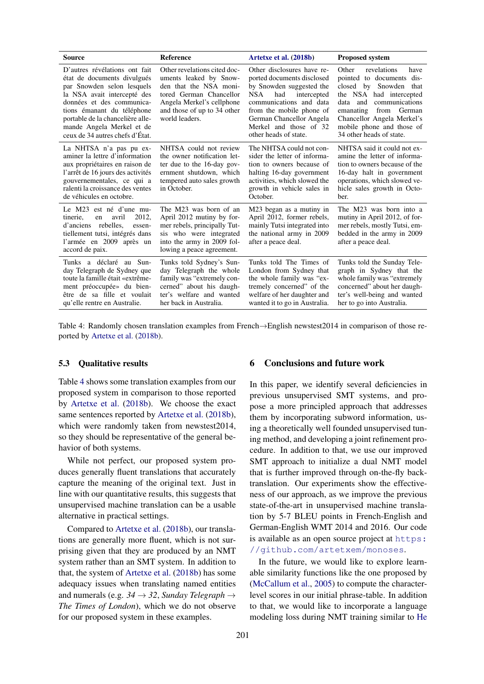<span id="page-7-2"></span>

| Source                                                                                                                                                                                                                                                                                   | <b>Reference</b>                                                                                                                                                                          | Artetxe et al. (2018b)                                                                                                                                                                                                                                   | <b>Proposed system</b>                                                                                                                                                                                                                                          |  |  |
|------------------------------------------------------------------------------------------------------------------------------------------------------------------------------------------------------------------------------------------------------------------------------------------|-------------------------------------------------------------------------------------------------------------------------------------------------------------------------------------------|----------------------------------------------------------------------------------------------------------------------------------------------------------------------------------------------------------------------------------------------------------|-----------------------------------------------------------------------------------------------------------------------------------------------------------------------------------------------------------------------------------------------------------------|--|--|
| D'autres révélations ont fait<br>état de documents divulgués<br>par Snowden selon lesquels<br>la NSA avait intercepté des<br>données et des communica-<br>tions émanant du téléphone<br>portable de la chancelière alle-<br>mande Angela Merkel et de<br>ceux de 34 autres chefs d'État. | Other revelations cited doc-<br>uments leaked by Snow-<br>den that the NSA moni-<br>tored German Chancellor<br>Angela Merkel's cellphone<br>and those of up to 34 other<br>world leaders. | Other disclosures have re-<br>ported documents disclosed<br>by Snowden suggested the<br>NSA.<br>had<br>intercepted<br>communications and data<br>from the mobile phone of<br>German Chancellor Angela<br>Merkel and those of 32<br>other heads of state. | Other<br>revelations<br>have<br>pointed to documents dis-<br>closed by Snowden that<br>the NSA had intercepted<br>data and<br>communications<br>from German<br>emanating<br>Chancellor Angela Merkel's<br>mobile phone and those of<br>34 other heads of state. |  |  |
| La NHTSA n'a pas pu ex-<br>aminer la lettre d'information<br>aux propriétaires en raison de<br>l'arrêt de 16 jours des activités<br>gouvernementales, ce qui a<br>ralenti la croissance des ventes<br>de véhicules en octobre.                                                           | NHTSA could not review<br>the owner notification let-<br>ter due to the 16-day gov-<br>ernment shutdown, which<br>tempered auto sales growth<br>in October.                               | The NHTSA could not con-<br>sider the letter of informa-<br>tion to owners because of<br>halting 16-day government<br>activities, which slowed the<br>growth in vehicle sales in<br>October.                                                             | NHTSA said it could not ex-<br>amine the letter of informa-<br>tion to owners because of the<br>16-day halt in government<br>operations, which slowed ve-<br>hicle sales growth in Octo-<br>ber.                                                                |  |  |
| Le M23 est né d'une mu-<br>2012.<br>tinerie,<br>avril<br>en<br>rebelles.<br>d'anciens<br>essen-<br>tiellement tutsi, intégrés dans<br>l'armée en 2009 après un<br>accord de paix.                                                                                                        | The M23 was born of an<br>April 2012 mutiny by for-<br>mer rebels, principally Tut-<br>sis who were integrated<br>into the army in 2009 fol-<br>lowing a peace agreement.                 | M23 began as a mutiny in<br>April 2012, former rebels,<br>mainly Tutsi integrated into<br>the national army in 2009<br>after a peace deal.                                                                                                               | The M23 was born into a<br>mutiny in April 2012, of for-<br>mer rebels, mostly Tutsi, em-<br>bedded in the army in 2009<br>after a peace deal.                                                                                                                  |  |  |
| Tunks a déclaré au Sun-<br>day Telegraph de Sydney que<br>toute la famille était «extrême-<br>ment préoccupée» du bien-<br>être de sa fille et voulait<br>qu'elle rentre en Australie.                                                                                                   | Tunks told Sydney's Sun-<br>day Telegraph the whole<br>family was "extremely con-<br>cerned" about his daugh-<br>ter's welfare and wanted<br>her back in Australia.                       | Tunks told The Times of<br>London from Sydney that<br>the whole family was "ex-<br>tremely concerned" of the<br>welfare of her daughter and<br>wanted it to go in Australia.                                                                             | Tunks told the Sunday Tele-<br>graph in Sydney that the<br>whole family was "extremely"<br>concerned" about her daugh-<br>ter's well-being and wanted<br>her to go into Australia.                                                                              |  |  |

Table 4: Randomly chosen translation examples from French→English newstest2014 in comparison of those reported by [Artetxe et al.](#page-8-5) [\(2018b\)](#page-8-5).

#### <span id="page-7-1"></span>5.3 Qualitative results

Table [4](#page-7-2) shows some translation examples from our proposed system in comparison to those reported by [Artetxe et al.](#page-8-5) [\(2018b\)](#page-8-5). We choose the exact same sentences reported by [Artetxe et al.](#page-8-5) [\(2018b\)](#page-8-5), which were randomly taken from newstest2014, so they should be representative of the general behavior of both systems.

While not perfect, our proposed system produces generally fluent translations that accurately capture the meaning of the original text. Just in line with our quantitative results, this suggests that unsupervised machine translation can be a usable alternative in practical settings.

Compared to [Artetxe et al.](#page-8-5) [\(2018b\)](#page-8-5), our translations are generally more fluent, which is not surprising given that they are produced by an NMT system rather than an SMT system. In addition to that, the system of [Artetxe et al.](#page-8-5) [\(2018b\)](#page-8-5) has some adequacy issues when translating named entities and numerals (e.g.  $34 \rightarrow 32$ , *Sunday Telegraph*  $\rightarrow$ *The Times of London*), which we do not observe for our proposed system in these examples.

## <span id="page-7-0"></span>6 Conclusions and future work

In this paper, we identify several deficiencies in previous unsupervised SMT systems, and propose a more principled approach that addresses them by incorporating subword information, using a theoretically well founded unsupervised tuning method, and developing a joint refinement procedure. In addition to that, we use our improved SMT approach to initialize a dual NMT model that is further improved through on-the-fly backtranslation. Our experiments show the effectiveness of our approach, as we improve the previous state-of-the-art in unsupervised machine translation by 5-7 BLEU points in French-English and German-English WMT 2014 and 2016. Our code is available as an open source project at [https:](https://github.com/artetxem/monoses) [//github.com/artetxem/monoses](https://github.com/artetxem/monoses).

In the future, we would like to explore learnable similarity functions like the one proposed by [\(McCallum et al.,](#page-9-8) [2005\)](#page-9-8) to compute the characterlevel scores in our initial phrase-table. In addition to that, we would like to incorporate a language modeling loss during NMT training similar to [He](#page-8-13)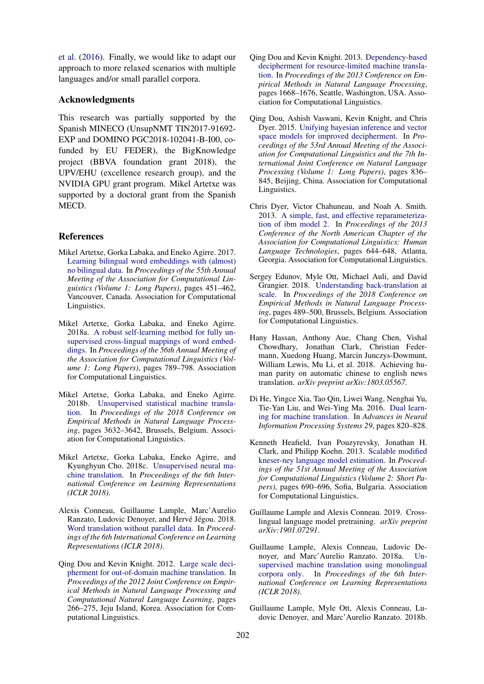[et al.](#page-8-13) [\(2016\)](#page-8-13). Finally, we would like to adapt our approach to more relaxed scenarios with multiple languages and/or small parallel corpora.

### Acknowledgments

This research was partially supported by the Spanish MINECO (UnsupNMT TIN2017-91692- EXP and DOMINO PGC2018-102041-B-I00, cofunded by EU FEDER), the BigKnowledge project (BBVA foundation grant 2018), the UPV/EHU (excellence research group), and the NVIDIA GPU grant program. Mikel Artetxe was supported by a doctoral grant from the Spanish MECD.

### **References**

- <span id="page-8-9"></span>Mikel Artetxe, Gorka Labaka, and Eneko Agirre. 2017. [Learning bilingual word embeddings with \(almost\)](http://aclweb.org/anthology/P17-1042) [no bilingual data.](http://aclweb.org/anthology/P17-1042) In *Proceedings of the 55th Annual Meeting of the Association for Computational Linguistics (Volume 1: Long Papers)*, pages 451–462, Vancouver, Canada. Association for Computational Linguistics.
- <span id="page-8-10"></span>Mikel Artetxe, Gorka Labaka, and Eneko Agirre. 2018a. [A robust self-learning method for fully un](http://aclweb.org/anthology/P18-1073)[supervised cross-lingual mappings of word embed](http://aclweb.org/anthology/P18-1073)[dings.](http://aclweb.org/anthology/P18-1073) In *Proceedings of the 56th Annual Meeting of the Association for Computational Linguistics (Volume 1: Long Papers)*, pages 789–798. Association for Computational Linguistics.
- <span id="page-8-5"></span>Mikel Artetxe, Gorka Labaka, and Eneko Agirre. 2018b. [Unsupervised statistical machine transla](http://www.aclweb.org/anthology/D18-1399)[tion.](http://www.aclweb.org/anthology/D18-1399) In *Proceedings of the 2018 Conference on Empirical Methods in Natural Language Processing*, pages 3632–3642, Brussels, Belgium. Association for Computational Linguistics.
- <span id="page-8-2"></span>Mikel Artetxe, Gorka Labaka, Eneko Agirre, and Kyunghyun Cho. 2018c. [Unsupervised neural ma](https://openreview.net/pdf?id=Sy2ogebAW)[chine translation.](https://openreview.net/pdf?id=Sy2ogebAW) In *Proceedings of the 6th International Conference on Learning Representations (ICLR 2018)*.
- <span id="page-8-11"></span>Alexis Conneau, Guillaume Lample, Marc'Aurelio Ranzato, Ludovic Denoyer, and Hervé Jégou. 2018. [Word translation without parallel data.](https://openreview.net/pdf?id=H196sainb) In *Proceedings of the 6th International Conference on Learning Representations (ICLR 2018)*.
- <span id="page-8-6"></span>Qing Dou and Kevin Knight. 2012. [Large scale deci](http://www.aclweb.org/anthology/D12-1025)[pherment for out-of-domain machine translation.](http://www.aclweb.org/anthology/D12-1025) In *Proceedings of the 2012 Joint Conference on Empirical Methods in Natural Language Processing and Computational Natural Language Learning*, pages 266–275, Jeju Island, Korea. Association for Computational Linguistics.
- <span id="page-8-7"></span>Qing Dou and Kevin Knight. 2013. [Dependency-based](http://www.aclweb.org/anthology/D13-1173) [decipherment for resource-limited machine transla](http://www.aclweb.org/anthology/D13-1173)[tion.](http://www.aclweb.org/anthology/D13-1173) In *Proceedings of the 2013 Conference on Empirical Methods in Natural Language Processing*, pages 1668–1676, Seattle, Washington, USA. Association for Computational Linguistics.
- <span id="page-8-8"></span>Qing Dou, Ashish Vaswani, Kevin Knight, and Chris Dyer. 2015. [Unifying bayesian inference and vector](http://www.aclweb.org/anthology/P15-1081) [space models for improved decipherment.](http://www.aclweb.org/anthology/P15-1081) In *Proceedings of the 53rd Annual Meeting of the Association for Computational Linguistics and the 7th International Joint Conference on Natural Language Processing (Volume 1: Long Papers)*, pages 836– 845, Beijing, China. Association for Computational Linguistics.
- <span id="page-8-15"></span>Chris Dyer, Victor Chahuneau, and Noah A. Smith. 2013. [A simple, fast, and effective reparameteriza](http://www.aclweb.org/anthology/N13-1073)[tion of ibm model 2.](http://www.aclweb.org/anthology/N13-1073) In *Proceedings of the 2013 Conference of the North American Chapter of the Association for Computational Linguistics: Human Language Technologies*, pages 644–648, Atlanta, Georgia. Association for Computational Linguistics.
- <span id="page-8-0"></span>Sergey Edunov, Myle Ott, Michael Auli, and David Grangier. 2018. [Understanding back-translation at](http://www.aclweb.org/anthology/D18-1045) [scale.](http://www.aclweb.org/anthology/D18-1045) In *Proceedings of the 2018 Conference on Empirical Methods in Natural Language Processing*, pages 489–500, Brussels, Belgium. Association for Computational Linguistics.
- <span id="page-8-1"></span>Hany Hassan, Anthony Aue, Chang Chen, Vishal Chowdhary, Jonathan Clark, Christian Federmann, Xuedong Huang, Marcin Junczys-Dowmunt, William Lewis, Mu Li, et al. 2018. Achieving human parity on automatic chinese to english news translation. *arXiv preprint arXiv:1803.05567*.
- <span id="page-8-13"></span>Di He, Yingce Xia, Tao Qin, Liwei Wang, Nenghai Yu, Tie-Yan Liu, and Wei-Ying Ma. 2016. [Dual learn](http://papers.nips.cc/paper/6469-dual-learning-for-machine-translation.pdf)[ing for machine translation.](http://papers.nips.cc/paper/6469-dual-learning-for-machine-translation.pdf) In *Advances in Neural Information Processing Systems 29*, pages 820–828.
- <span id="page-8-14"></span>Kenneth Heafield, Ivan Pouzyrevsky, Jonathan H. Clark, and Philipp Koehn. 2013. [Scalable modified](http://www.aclweb.org/anthology/P13-2121) [kneser-ney language model estimation.](http://www.aclweb.org/anthology/P13-2121) In *Proceedings of the 51st Annual Meeting of the Association for Computational Linguistics (Volume 2: Short Papers)*, pages 690–696, Sofia, Bulgaria. Association for Computational Linguistics.
- <span id="page-8-12"></span>Guillaume Lample and Alexis Conneau. 2019. Crosslingual language model pretraining. *arXiv preprint arXiv:1901.07291*.
- <span id="page-8-3"></span>Guillaume Lample, Alexis Conneau, Ludovic Denoyer, and Marc'Aurelio Ranzato. 2018a. [Un](https://openreview.net/pdf?id=rkYTTf-AZ)[supervised machine translation using monolingual](https://openreview.net/pdf?id=rkYTTf-AZ) [corpora only.](https://openreview.net/pdf?id=rkYTTf-AZ) In *Proceedings of the 6th International Conference on Learning Representations (ICLR 2018)*.
- <span id="page-8-4"></span>Guillaume Lample, Myle Ott, Alexis Conneau, Ludovic Denoyer, and Marc'Aurelio Ranzato. 2018b.